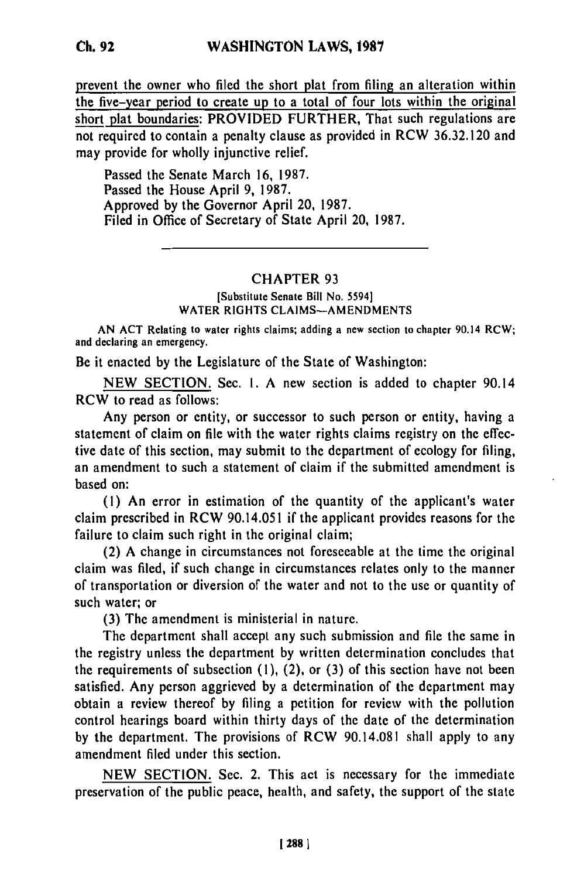prevent the owner who filed the short plat from filing an alteration within the five-year period to create up to a total of four lots within the original

short plat boundaries: PROVIDED FURTHER, That such regulations are not required to contain a penalty clause as provided in RCW **36.32.120** and may provide for wholly injunctive relief.

Passed the Senate March **16, 1987.** Passed the House April **9, 1987.** Approved **by** the Governor April 20, **1987.** Filed in Office of Secretary of State April 20, **1987.**

## CHAPTER **93**

(Substitute Senate Bill No. 5594] WATER RIGHTS **CLAIMS-AMENDMENTS**

**AN ACT** Relating to water rights claims; adding a new section to chapter 90.14 RCW; and declaring an emergency.

Be it enacted **by** the Legislature of the State of Washington:

**NEW SECTION.** Sec. **1. A** new section is added to chapter 90.14 RCW to read as follows:

Any person or entity, or successor to such person or entity, having a statement of claim on file with the water rights claims registry on the effective date of this section, may submit to the department of ecology for filing, an amendment to such a statement of claim if the submitted amendment is based on:

**(1)** An error in estimation of the quantity of the applicant's water claim prescribed in RCW 90.14.051 if the applicant provides reasons for the failure to claim such right in the original claim;

(2) **A** change in circumstances not foreseeable at the time the original claim was filed, if such change in circumstances relates only to the manner of transportation or diversion of the water and not to the use or quantity of such water; or

**(3)** The amendment is ministerial in nature.

The department shall accept any such submission and file the same in the registry unless the department **by** written determination concludes that the requirements of subsection **(1),** (2), or **(3)** of this section have not been satisfied. Any person aggrieved **by** a determination of the department may obtain a review thereof **by** filing a petition for review with the pollution control hearings board within thirty days of the date of the determination **by** the department. The provisions of RCW 90.14.081 shall apply to any amendment **filed** under this section.

**NEW SECTION.** Sec. 2. This act is necessary for the immediate preservation of the public peace, health, and safety, the support of the state